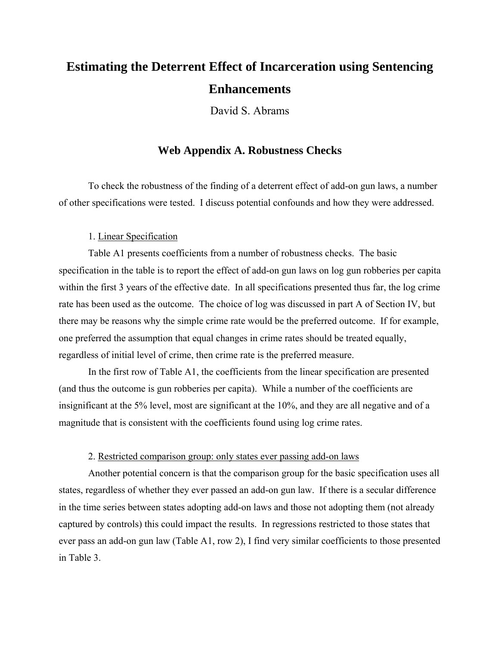# **Estimating the Deterrent Effect of Incarceration using Sentencing Enhancements**

David S. Abrams

### **Web Appendix A. Robustness Checks**

To check the robustness of the finding of a deterrent effect of add-on gun laws, a number of other specifications were tested. I discuss potential confounds and how they were addressed.

#### 1. Linear Specification

Table A1 presents coefficients from a number of robustness checks. The basic specification in the table is to report the effect of add-on gun laws on log gun robberies per capita within the first 3 years of the effective date. In all specifications presented thus far, the log crime rate has been used as the outcome. The choice of log was discussed in part A of Section IV, but there may be reasons why the simple crime rate would be the preferred outcome. If for example, one preferred the assumption that equal changes in crime rates should be treated equally, regardless of initial level of crime, then crime rate is the preferred measure.

In the first row of Table A1, the coefficients from the linear specification are presented (and thus the outcome is gun robberies per capita). While a number of the coefficients are insignificant at the 5% level, most are significant at the 10%, and they are all negative and of a magnitude that is consistent with the coefficients found using log crime rates.

#### 2. Restricted comparison group: only states ever passing add-on laws

Another potential concern is that the comparison group for the basic specification uses all states, regardless of whether they ever passed an add-on gun law. If there is a secular difference in the time series between states adopting add-on laws and those not adopting them (not already captured by controls) this could impact the results. In regressions restricted to those states that ever pass an add-on gun law (Table A1, row 2), I find very similar coefficients to those presented in Table 3.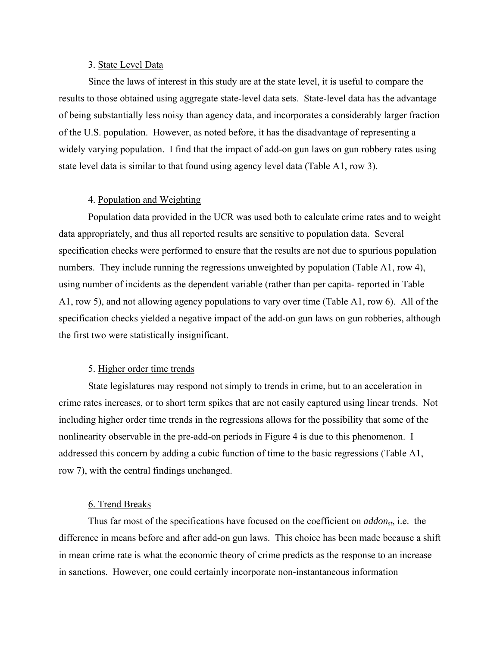#### 3. State Level Data

Since the laws of interest in this study are at the state level, it is useful to compare the results to those obtained using aggregate state-level data sets. State-level data has the advantage of being substantially less noisy than agency data, and incorporates a considerably larger fraction of the U.S. population. However, as noted before, it has the disadvantage of representing a widely varying population. I find that the impact of add-on gun laws on gun robbery rates using state level data is similar to that found using agency level data (Table A1, row 3).

#### 4. Population and Weighting

Population data provided in the UCR was used both to calculate crime rates and to weight data appropriately, and thus all reported results are sensitive to population data. Several specification checks were performed to ensure that the results are not due to spurious population numbers. They include running the regressions unweighted by population (Table A1, row 4), using number of incidents as the dependent variable (rather than per capita- reported in Table A1, row 5), and not allowing agency populations to vary over time (Table A1, row 6). All of the specification checks yielded a negative impact of the add-on gun laws on gun robberies, although the first two were statistically insignificant.

#### 5. Higher order time trends

State legislatures may respond not simply to trends in crime, but to an acceleration in crime rates increases, or to short term spikes that are not easily captured using linear trends. Not including higher order time trends in the regressions allows for the possibility that some of the nonlinearity observable in the pre-add-on periods in Figure 4 is due to this phenomenon. I addressed this concern by adding a cubic function of time to the basic regressions (Table A1, row 7), with the central findings unchanged.

#### 6. Trend Breaks

Thus far most of the specifications have focused on the coefficient on *addonst*, i.e. the difference in means before and after add-on gun laws. This choice has been made because a shift in mean crime rate is what the economic theory of crime predicts as the response to an increase in sanctions. However, one could certainly incorporate non-instantaneous information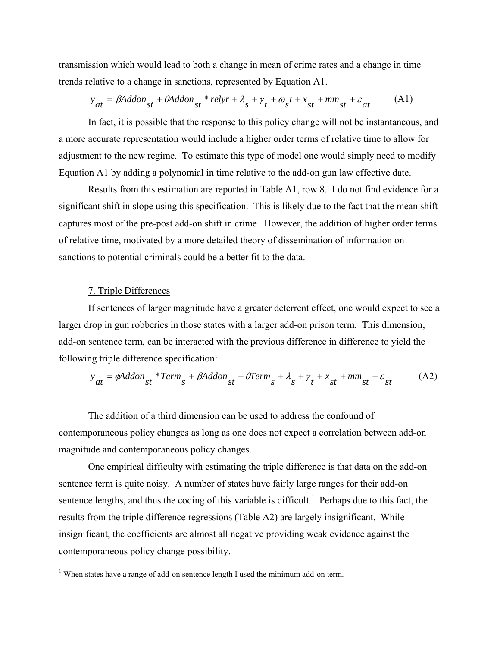transmission which would lead to both a change in mean of crime rates and a change in time trends relative to a change in sanctions, represented by Equation A1.

$$
y_{at} = \beta \text{Addon}_{st} + \theta \text{Addon}_{st} * relyr + \lambda_s + \gamma_t + \omega_s t + x_{st} + \text{mm}_{st} + \varepsilon_{at} \tag{A1}
$$

In fact, it is possible that the response to this policy change will not be instantaneous, and a more accurate representation would include a higher order terms of relative time to allow for adjustment to the new regime. To estimate this type of model one would simply need to modify Equation A1 by adding a polynomial in time relative to the add-on gun law effective date.

Results from this estimation are reported in Table A1, row 8. I do not find evidence for a significant shift in slope using this specification. This is likely due to the fact that the mean shift captures most of the pre-post add-on shift in crime. However, the addition of higher order terms of relative time, motivated by a more detailed theory of dissemination of information on sanctions to potential criminals could be a better fit to the data.

#### 7. Triple Differences

 $\overline{a}$ 

If sentences of larger magnitude have a greater deterrent effect, one would expect to see a larger drop in gun robberies in those states with a larger add-on prison term. This dimension, add-on sentence term, can be interacted with the previous difference in difference to yield the following triple difference specification:

$$
y_{at} = \phi \text{Addon}_{st} * Term_s + \beta \text{Addon}_{st} + \theta Term_s + \lambda_s + \gamma_t + x_{st} + mm_{st} + \varepsilon_{st} \tag{A2}
$$

The addition of a third dimension can be used to address the confound of contemporaneous policy changes as long as one does not expect a correlation between add-on magnitude and contemporaneous policy changes.

One empirical difficulty with estimating the triple difference is that data on the add-on sentence term is quite noisy. A number of states have fairly large ranges for their add-on sentence lengths, and thus the coding of this variable is difficult.<sup>1</sup> Perhaps due to this fact, the results from the triple difference regressions (Table A2) are largely insignificant. While insignificant, the coefficients are almost all negative providing weak evidence against the contemporaneous policy change possibility.

<sup>&</sup>lt;sup>1</sup> When states have a range of add-on sentence length I used the minimum add-on term.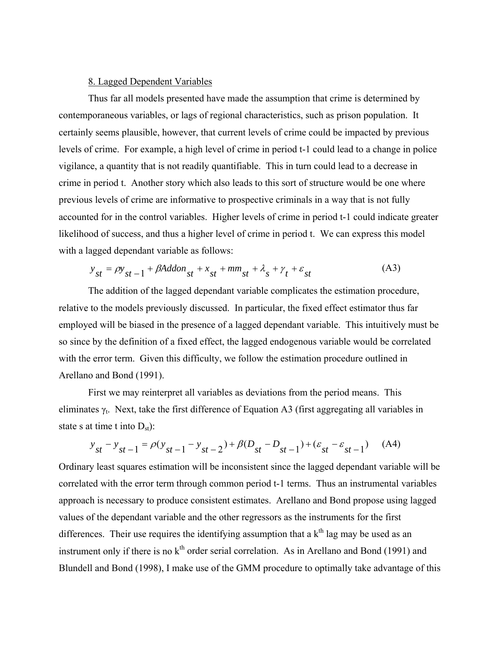#### 8. Lagged Dependent Variables

Thus far all models presented have made the assumption that crime is determined by contemporaneous variables, or lags of regional characteristics, such as prison population. It certainly seems plausible, however, that current levels of crime could be impacted by previous levels of crime. For example, a high level of crime in period t-1 could lead to a change in police vigilance, a quantity that is not readily quantifiable. This in turn could lead to a decrease in crime in period t. Another story which also leads to this sort of structure would be one where previous levels of crime are informative to prospective criminals in a way that is not fully accounted for in the control variables. Higher levels of crime in period t-1 could indicate greater likelihood of success, and thus a higher level of crime in period t. We can express this model with a lagged dependant variable as follows:

$$
y_{st} = \rho y_{st-1} + \beta \text{Addon}_{st} + x_{st} + \text{mm}_{st} + \lambda_s + \gamma_t + \varepsilon_{st} \tag{A3}
$$

The addition of the lagged dependant variable complicates the estimation procedure, relative to the models previously discussed. In particular, the fixed effect estimator thus far employed will be biased in the presence of a lagged dependant variable. This intuitively must be so since by the definition of a fixed effect, the lagged endogenous variable would be correlated with the error term. Given this difficulty, we follow the estimation procedure outlined in Arellano and Bond (1991).

First we may reinterpret all variables as deviations from the period means. This eliminates  $\gamma_t$ . Next, take the first difference of Equation A3 (first aggregating all variables in state s at time t into  $D_{st}$ ):

$$
y_{st} - y_{st-1} = \rho(y_{st-1} - y_{st-2}) + \beta(D_{st} - D_{st-1}) + (\varepsilon_{st} - \varepsilon_{st-1})
$$
 (A4)

Ordinary least squares estimation will be inconsistent since the lagged dependant variable will be correlated with the error term through common period t-1 terms. Thus an instrumental variables approach is necessary to produce consistent estimates. Arellano and Bond propose using lagged values of the dependant variable and the other regressors as the instruments for the first differences. Their use requires the identifying assumption that a  $k<sup>th</sup>$  lag may be used as an instrument only if there is no  $k<sup>th</sup>$  order serial correlation. As in Arellano and Bond (1991) and Blundell and Bond (1998), I make use of the GMM procedure to optimally take advantage of this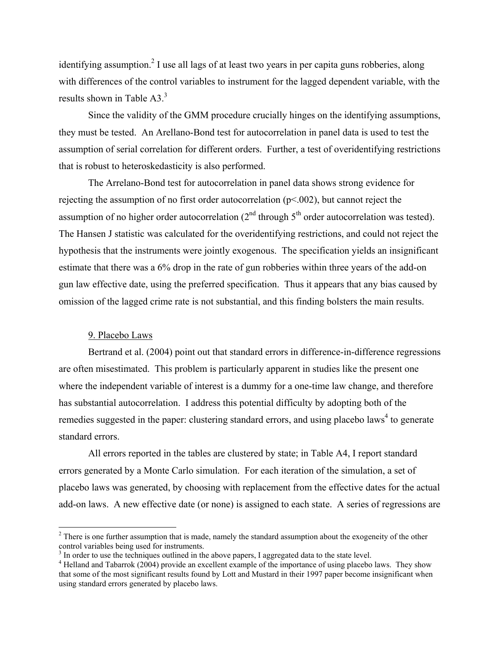identifying assumption.<sup>2</sup> I use all lags of at least two years in per capita guns robberies, along with differences of the control variables to instrument for the lagged dependent variable, with the results shown in Table  $A3<sup>3</sup>$ 

Since the validity of the GMM procedure crucially hinges on the identifying assumptions, they must be tested. An Arellano-Bond test for autocorrelation in panel data is used to test the assumption of serial correlation for different orders. Further, a test of overidentifying restrictions that is robust to heteroskedasticity is also performed.

The Arrelano-Bond test for autocorrelation in panel data shows strong evidence for rejecting the assumption of no first order autocorrelation (p<.002), but cannot reject the assumption of no higher order autocorrelation  $(2<sup>nd</sup>$  through  $5<sup>th</sup>$  order autocorrelation was tested). The Hansen J statistic was calculated for the overidentifying restrictions, and could not reject the hypothesis that the instruments were jointly exogenous. The specification yields an insignificant estimate that there was a 6% drop in the rate of gun robberies within three years of the add-on gun law effective date, using the preferred specification. Thus it appears that any bias caused by omission of the lagged crime rate is not substantial, and this finding bolsters the main results.

#### 9. Placebo Laws

 $\overline{a}$ 

Bertrand et al. (2004) point out that standard errors in difference-in-difference regressions are often misestimated. This problem is particularly apparent in studies like the present one where the independent variable of interest is a dummy for a one-time law change, and therefore has substantial autocorrelation. I address this potential difficulty by adopting both of the remedies suggested in the paper: clustering standard errors, and using placebo laws<sup>4</sup> to generate standard errors.

All errors reported in the tables are clustered by state; in Table A4, I report standard errors generated by a Monte Carlo simulation. For each iteration of the simulation, a set of placebo laws was generated, by choosing with replacement from the effective dates for the actual add-on laws. A new effective date (or none) is assigned to each state. A series of regressions are

 $2<sup>2</sup>$  There is one further assumption that is made, namely the standard assumption about the exogeneity of the other control variables being used for instruments.

<sup>&</sup>lt;sup>3</sup> In order to use the techniques outlined in the above papers, I aggregated data to the state level.

<sup>&</sup>lt;sup>4</sup> Helland and Tabarrok (2004) provide an excellent example of the importance of using placebo laws. They show that some of the most significant results found by Lott and Mustard in their 1997 paper become insignificant when using standard errors generated by placebo laws.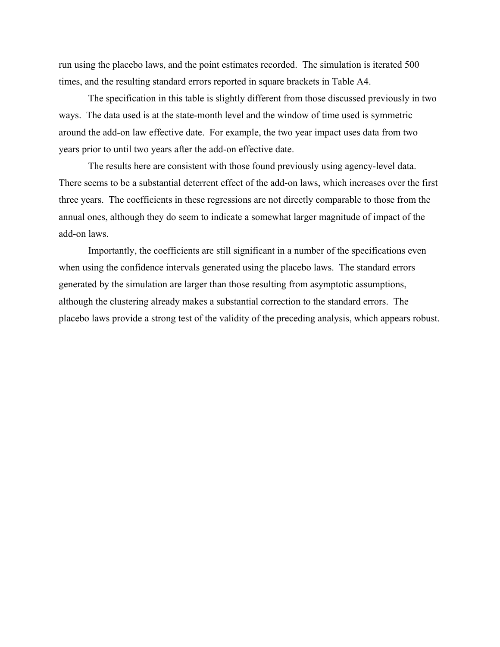run using the placebo laws, and the point estimates recorded. The simulation is iterated 500 times, and the resulting standard errors reported in square brackets in Table A4.

The specification in this table is slightly different from those discussed previously in two ways. The data used is at the state-month level and the window of time used is symmetric around the add-on law effective date. For example, the two year impact uses data from two years prior to until two years after the add-on effective date.

The results here are consistent with those found previously using agency-level data. There seems to be a substantial deterrent effect of the add-on laws, which increases over the first three years. The coefficients in these regressions are not directly comparable to those from the annual ones, although they do seem to indicate a somewhat larger magnitude of impact of the add-on laws.

Importantly, the coefficients are still significant in a number of the specifications even when using the confidence intervals generated using the placebo laws. The standard errors generated by the simulation are larger than those resulting from asymptotic assumptions, although the clustering already makes a substantial correction to the standard errors. The placebo laws provide a strong test of the validity of the preceding analysis, which appears robust.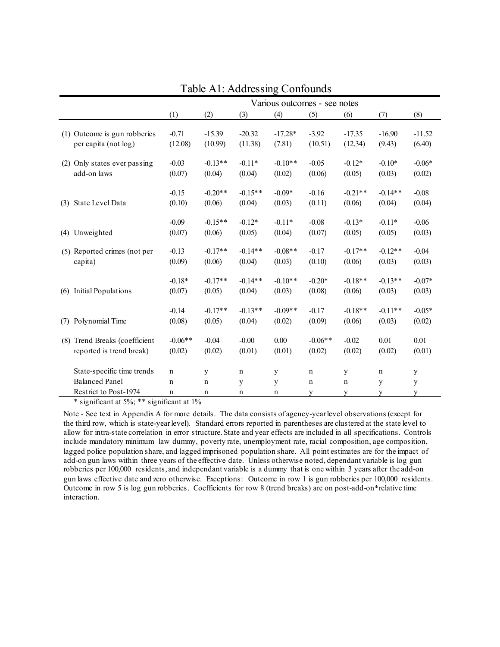|     |                                                                              | Various outcomes - see notes    |                       |                       |                       |                                 |                       |                       |                                 |  |
|-----|------------------------------------------------------------------------------|---------------------------------|-----------------------|-----------------------|-----------------------|---------------------------------|-----------------------|-----------------------|---------------------------------|--|
|     |                                                                              | (1)                             | (2)                   | (3)                   | (4)                   | (5)                             | (6)                   | (7)                   | (8)                             |  |
|     | (1) Outcome is gun robberies<br>per capita (not log)                         | $-0.71$<br>(12.08)              | $-15.39$<br>(10.99)   | $-20.32$<br>(11.38)   | $-17.28*$<br>(7.81)   | $-3.92$<br>(10.51)              | $-17.35$<br>(12.34)   | $-16.90$<br>(9.43)    | $-11.52$<br>(6.40)              |  |
| (2) | Only states ever passing<br>add-on laws                                      | $-0.03$<br>(0.07)               | $-0.13**$<br>(0.04)   | $-0.11*$<br>(0.04)    | $-0.10**$<br>(0.02)   | $-0.05$<br>(0.06)               | $-0.12*$<br>(0.05)    | $-0.10*$<br>(0.03)    | $-0.06*$<br>(0.02)              |  |
| (3) | State Level Data                                                             | $-0.15$<br>(0.10)               | $-0.20**$<br>(0.06)   | $-0.15**$<br>(0.04)   | $-0.09*$<br>(0.03)    | $-0.16$<br>(0.11)               | $-0.21**$<br>(0.06)   | $-0.14**$<br>(0.04)   | $-0.08$<br>(0.04)               |  |
| (4) | Unweighted                                                                   | $-0.09$<br>(0.07)               | $-0.15**$<br>(0.06)   | $-0.12*$<br>(0.05)    | $-0.11*$<br>(0.04)    | $-0.08$<br>(0.07)               | $-0.13*$<br>(0.05)    | $-0.11*$<br>(0.05)    | $-0.06$<br>(0.03)               |  |
|     | (5) Reported crimes (not per<br>capita)                                      | $-0.13$<br>(0.09)               | $-0.17**$<br>(0.06)   | $-0.14**$<br>(0.04)   | $-0.08**$<br>(0.03)   | $-0.17$<br>(0.10)               | $-0.17**$<br>(0.06)   | $-0.12**$<br>(0.03)   | $-0.04$<br>(0.03)               |  |
| (6) | <b>Initial Populations</b>                                                   | $-0.18*$<br>(0.07)              | $-0.17**$<br>(0.05)   | $-0.14**$<br>(0.04)   | $-0.10**$<br>(0.03)   | $-0.20*$<br>(0.08)              | $-0.18**$<br>(0.06)   | $-0.13**$<br>(0.03)   | $-0.07*$<br>(0.03)              |  |
| (7) | Polynomial Time                                                              | $-0.14$<br>(0.08)               | $-0.17**$<br>(0.05)   | $-0.13**$<br>(0.04)   | $-0.09**$<br>(0.02)   | $-0.17$<br>(0.09)               | $-0.18**$<br>(0.06)   | $-0.11**$<br>(0.03)   | $-0.05*$<br>(0.02)              |  |
| (8) | Trend Breaks (coefficient<br>reported is trend break)                        | $-0.06**$<br>(0.02)             | $-0.04$<br>(0.02)     | $-0.00$<br>(0.01)     | 0.00<br>(0.01)        | $-0.06**$<br>(0.02)             | $-0.02$<br>(0.02)     | 0.01<br>(0.02)        | 0.01<br>(0.01)                  |  |
|     | State-specific time trends<br><b>Balanced Panel</b><br>Restrict to Post-1974 | $\mathbf n$<br>$\mathbf n$<br>n | y<br>$\mathbf n$<br>n | $\mathbf n$<br>y<br>n | y<br>y<br>$\mathbf n$ | $\mathbf n$<br>$\mathbf n$<br>y | y<br>$\mathbf n$<br>y | $\mathbf n$<br>y<br>y | $\mathbf y$<br>$\mathbf y$<br>y |  |

Table A1: Addressing Confounds

\* significant at 5%; \*\* significant at 1%

Note - See text in Appendix A for more details. The data consists of agency-year level observations (except for the third row, which is state-year level). Standard errors reported in parentheses are clustered at the state level to allow for intra-state correlation in error structure. State and year effects are included in all specifications. Controls include mandatory minimum law dummy, poverty rate, unemployment rate, racial composition, age composition, lagged police population share, and lagged imprisoned population share. All point estimates are for the impact of add-on gun laws within three years of the effective date. Unless otherwise noted, dependant variable is log gun robberies per 100,000 residents, and independant variable is a dummy that is one within 3 years after the add-on gun laws effective date and zero otherwise. Exceptions: Outcome in row 1 is gun robberies per 100,000 residents. Outcome in row 5 is log gun robberies. Coefficients for row 8 (trend breaks) are on post-add-on\*relative time interaction.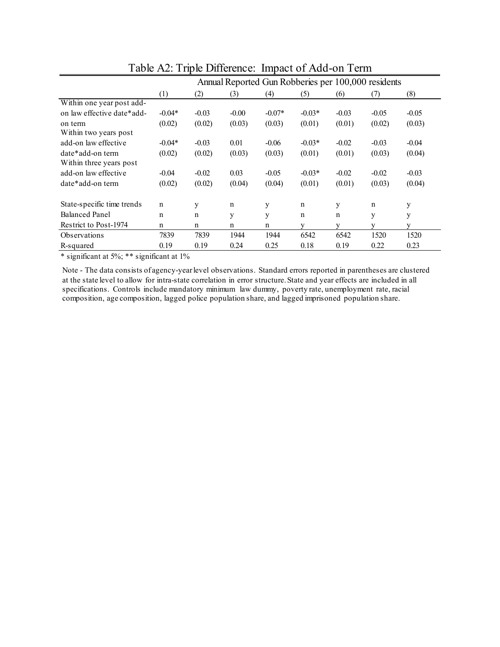|                                             |             | Annual Reported Gun Robberies per 100,000 residents |         |          |             |             |         |         |  |
|---------------------------------------------|-------------|-----------------------------------------------------|---------|----------|-------------|-------------|---------|---------|--|
|                                             | (1)         | (2)                                                 | (3)     | (4)      | (5)         | (6)         | (7)     | (8)     |  |
| Within one year post add-                   |             |                                                     |         |          |             |             |         |         |  |
| on law effective date*add-                  | $-0.04*$    | $-0.03$                                             | $-0.00$ | $-0.07*$ | $-0.03*$    | $-0.03$     | $-0.05$ | $-0.05$ |  |
| on term<br>Within two years post            | (0.02)      | (0.02)                                              | (0.03)  | (0.03)   | (0.01)      | (0.01)      | (0.02)  | (0.03)  |  |
| add-on law effective                        | $-0.04*$    | $-0.03$                                             | 0.01    | $-0.06$  | $-0.03*$    | $-0.02$     | $-0.03$ | $-0.04$ |  |
| date*add-on term<br>Within three years post | (0.02)      | (0.02)                                              | (0.03)  | (0.03)   | (0.01)      | (0.01)      | (0.03)  | (0.04)  |  |
| add-on law effective                        | $-0.04$     | $-0.02$                                             | 0.03    | $-0.05$  | $-0.03*$    | $-0.02$     | $-0.02$ | $-0.03$ |  |
| date*add-on term                            | (0.02)      | (0.02)                                              | (0.04)  | (0.04)   | (0.01)      | (0.01)      | (0.03)  | (0.04)  |  |
| State-specific time trends                  | $\mathbf n$ | y                                                   | n       | у        | $\mathbf n$ | y           | n       | y       |  |
| <b>Balanced Panel</b>                       | n           | n                                                   | y       | y        | n           | $\mathbf n$ | y       | y       |  |
| Restrict to Post-1974                       | n           | n                                                   | n       | n        | V           | V           |         | V       |  |
| Observations                                | 7839        | 7839                                                | 1944    | 1944     | 6542        | 6542        | 1520    | 1520    |  |
| R-squared                                   | 0.19        | 0.19                                                | 0.24    | 0.25     | 0.18        | 0.19        | 0.22    | 0.23    |  |

Table A2: Triple Difference: Impact of Add-on Term

\* significant at 5%; \*\* significant at 1%

Note - The data consists of agency-year level observations. Standard errors reported in parentheses are clustered at the state level to allow for intra-state correlation in error structure. State and year effects are included in all specifications. Controls include mandatory minimum law dummy, poverty rate, unemployment rate, racial composition, age composition, lagged police population share, and lagged imprisoned population share.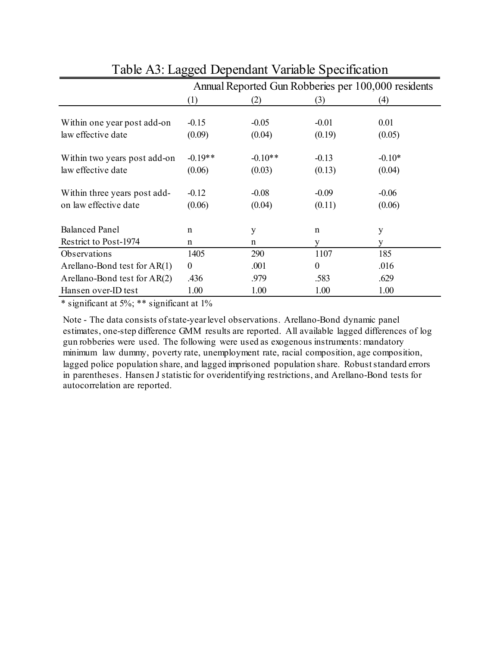|                                | Annual Reported Gun Robberies per 100,000 residents |           |                  |          |  |  |  |
|--------------------------------|-----------------------------------------------------|-----------|------------------|----------|--|--|--|
|                                | (1)                                                 | (2)       | (3)              | (4)      |  |  |  |
|                                |                                                     |           |                  |          |  |  |  |
| Within one year post add-on    | $-0.15$                                             | $-0.05$   | $-0.01$          | 0.01     |  |  |  |
| law effective date             | (0.09)                                              | (0.04)    | (0.19)           | (0.05)   |  |  |  |
| Within two years post add-on   | $-0.19**$                                           | $-0.10**$ | $-0.13$          | $-0.10*$ |  |  |  |
| law effective date             | (0.06)                                              | (0.03)    | (0.13)           | (0.04)   |  |  |  |
|                                |                                                     |           |                  |          |  |  |  |
| Within three years post add-   | $-0.12$                                             | $-0.08$   | $-0.09$          | $-0.06$  |  |  |  |
| on law effective date          | (0.06)                                              | (0.04)    | (0.11)           | (0.06)   |  |  |  |
|                                |                                                     |           |                  |          |  |  |  |
| <b>Balanced Panel</b>          | $\mathbf n$                                         | y         | $\mathbf n$      | y        |  |  |  |
| Restrict to Post-1974          | n                                                   | n         | y                | V        |  |  |  |
| Observations                   | 1405                                                | 290       | 1107             | 185      |  |  |  |
| Arellano-Bond test for $AR(1)$ | $\theta$                                            | .001      | $\boldsymbol{0}$ | .016     |  |  |  |
| Arellano-Bond test for $AR(2)$ | .436                                                | .979      | .583             | .629     |  |  |  |
| Hansen over-ID test            | 1.00                                                | 1.00      | 1.00             | 1.00     |  |  |  |

## Table A3: Lagged Dependant Variable Specification

\* significant at 5%; \*\* significant at 1%

Note - The data consists of state-year level observations. Arellano-Bond dynamic panel estimates, one-step difference GMM results are reported. All available lagged differences of log gun robberies were used. The following were used as exogenous instruments: mandatory minimum law dummy, poverty rate, unemployment rate, racial composition, age composition, lagged police population share, and lagged imprisoned population share. Robust standard errors in parentheses. Hansen J statistic for overidentifying restrictions, and Arellano-Bond tests for autocorrelation are reported.